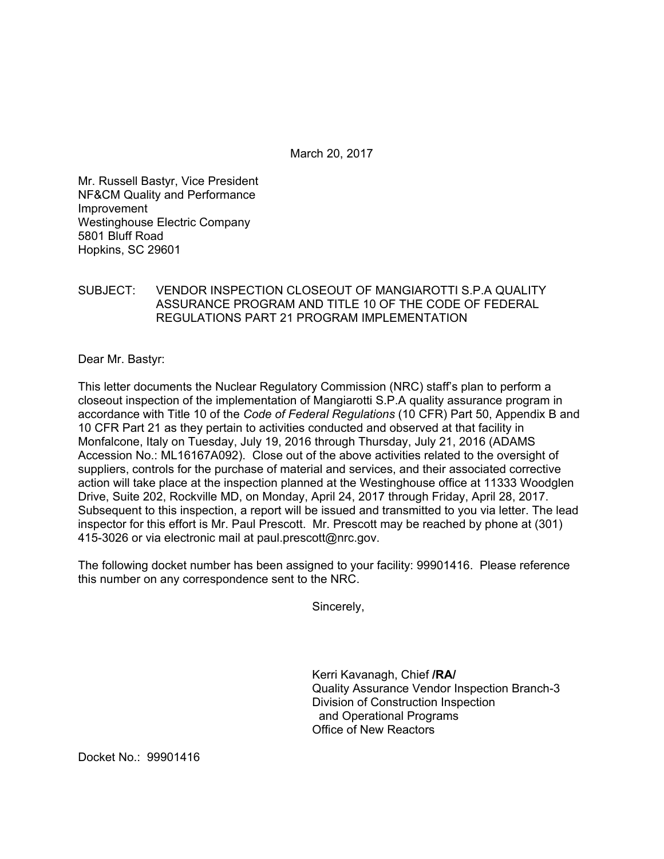March 20, 2017

Mr. Russell Bastyr, Vice President NF&CM Quality and Performance Improvement Westinghouse Electric Company 5801 Bluff Road Hopkins, SC 29601

## SUBJECT: VENDOR INSPECTION CLOSEOUT OF MANGIAROTTI S.P.A QUALITY ASSURANCE PROGRAM AND TITLE 10 OF THE CODE OF FEDERAL REGULATIONS PART 21 PROGRAM IMPLEMENTATION

Dear Mr. Bastyr:

This letter documents the Nuclear Regulatory Commission (NRC) staff's plan to perform a closeout inspection of the implementation of Mangiarotti S.P.A quality assurance program in accordance with Title 10 of the *Code of Federal Regulations* (10 CFR) Part 50, Appendix B and 10 CFR Part 21 as they pertain to activities conducted and observed at that facility in Monfalcone, Italy on Tuesday, July 19, 2016 through Thursday, July 21, 2016 (ADAMS Accession No.: ML16167A092). Close out of the above activities related to the oversight of suppliers, controls for the purchase of material and services, and their associated corrective action will take place at the inspection planned at the Westinghouse office at 11333 Woodglen Drive, Suite 202, Rockville MD, on Monday, April 24, 2017 through Friday, April 28, 2017. Subsequent to this inspection, a report will be issued and transmitted to you via letter. The lead inspector for this effort is Mr. Paul Prescott. Mr. Prescott may be reached by phone at (301) 415-3026 or via electronic mail at paul.prescott@nrc.gov.

The following docket number has been assigned to your facility: 99901416. Please reference this number on any correspondence sent to the NRC.

Sincerely,

Kerri Kavanagh, Chief **/RA/**  Quality Assurance Vendor Inspection Branch-3 Division of Construction Inspection and Operational Programs Office of New Reactors

Docket No.: 99901416